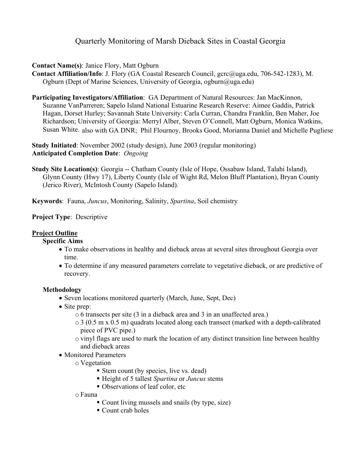# Quarterly Monitoring of Marsh Dieback Sites in Coastal Georgia

## **Contact Name(s)**: Janice Flory, Matt Ogburn

**Contact Affiliation/Info**: J. Flory (GA Coastal Research Council, gcrc@uga.edu, 706-542-1283), M. Ogburn (Dept of Marine Sciences, University of Georgia, ogburn@uga.edu)

**Participating Investigators/Affiliation**: GA Department of Natural Resources: Jan MacKinnon, Suzanne VanParreren; Sapelo Island National Estuarine Research Reserve: Aimee Gaddis, Patrick Hagan, Dorset Hurley; Savannah State University: Carla Curran, Chandra Franklin, Ben Maher, Joe Richardson; University of Georgia: Merryl Alber, Steven O'Connell, Matt Ogburn, Monica Watkins, Susan White. also with GA DNR; Phil Flournoy, Brooks Good, Morianna Daniel and Michelle Pugliese

**Study Initiated**: November 2002 (study design), June 2003 (regular monitoring) **Anticipated Completion Date**: *Ongoing* 

**Study Site Location(s)**: Georgia -- Chatham County (Isle of Hope, Ossabaw Island, Talahi Island), Glynn County (Hwy 17), Liberty County (Isle of Wight Rd, Melon Bluff Plantation), Bryan County (Jerico River), McIntosh County (Sapelo Island).

**Keywords**: Fauna, *Juncus*, Monitoring, Salinity, *Spartina*, Soil chemistry

## **Project Type**: Descriptive

# **Project Outline**

#### **Specific Aims**

- To make observations in healthy and dieback areas at several sites throughout Georgia over time.
- To determine if any measured parameters correlate to vegetative dieback, or are predictive of recovery.

#### **Methodology**

- Seven locations monitored quarterly (March, June, Sept, Dec)
- Site prep:
	- o 6 transects per site (3 in a dieback area and 3 in an unaffected area.)
	- $\circ$  3 (0.5 m x 0.5 m) quadrats located along each transect (marked with a depth-calibrated piece of PVC pipe.)
	- o vinyl flags are used to mark the location of any distinct transition line between healthy and dieback areas
- Monitored Parameters
	- o Vegetation
		- Stem count (by species, live vs. dead)
		- Height of 5 tallest *Spartina* or *Juncus* stems
		- Observations of leaf color, etc
	- o Fauna
		- Count living mussels and snails (by type, size)
		- Count crab holes